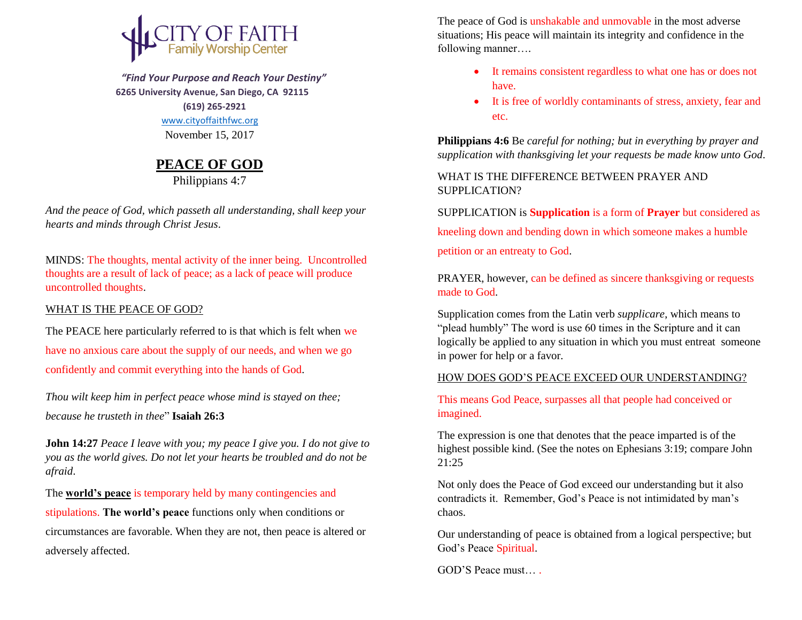

 *"Find Your Purpose and Reach Your Destiny"*  **6265 University Avenue, San Diego, CA 92115 (619) 265-2921** [www.cityoffaithfwc.org](http://www.cityoffaithfwc.org/) November 15, 2017

## **PEACE OF GOD**

Philippians 4:7

*And the peace of God, which passeth all understanding, shall keep your hearts and minds through Christ Jesus*.

MINDS: The thoughts, mental activity of the inner being. Uncontrolled thoughts are a result of lack of peace; as a lack of peace will produce uncontrolled thoughts.

## WHAT IS THE PEACE OF GOD?

The PEACE here particularly referred to is that which is felt when we have no anxious care about the supply of our needs, and when we go confidently and commit everything into the hands of God.

*Thou wilt keep him in perfect peace whose mind is stayed on thee; because he trusteth in thee*" **Isaiah 26:3**

**John 14:27** *Peace I leave with you; my peace I give you. I do not give to you as the world gives. Do not let your hearts be troubled and do not be afraid*.

The **world's peace** is temporary held by many contingencies and

stipulations. **The world's peace** functions only when conditions or circumstances are favorable. When they are not, then peace is altered or adversely affected.

The peace of God is unshakable and unmovable in the most adverse situations; His peace will maintain its integrity and confidence in the following manner….

- It remains consistent regardless to what one has or does not have.
- It is free of worldly contaminants of stress, anxiety, fear and etc.

**Philippians 4:6** Be *careful for nothing; but in everything by prayer and supplication with thanksgiving let your requests be made know unto God*.

WHAT IS THE DIFFERENCE BETWEEN PRAYER AND SUPPLICATION?

SUPPLICATION is **Supplication** is a form of **Prayer** but considered as kneeling down and bending down in which someone makes a humble petition or an entreaty to God.

PRAYER, however, can be defined as sincere thanksgiving or requests made to God.

Supplication comes from the Latin verb *supplicare*, which means to "plead humbly" The word is use 60 times in the Scripture and it can logically be applied to any situation in which you must entreat someone in power for help or a favor.

## HOW DOES GOD'S PEACE EXCEED OUR UNDERSTANDING?

This means God Peace, surpasses all that people had conceived or imagined.

The expression is one that denotes that the peace imparted is of the highest possible kind. (See the notes on Ephesians 3:19; compare John 21:25

Not only does the Peace of God exceed our understanding but it also contradicts it. Remember, God's Peace is not intimidated by man's chaos.

Our understanding of peace is obtained from a logical perspective; but God's Peace Spiritual.

GOD'S Peace must… .